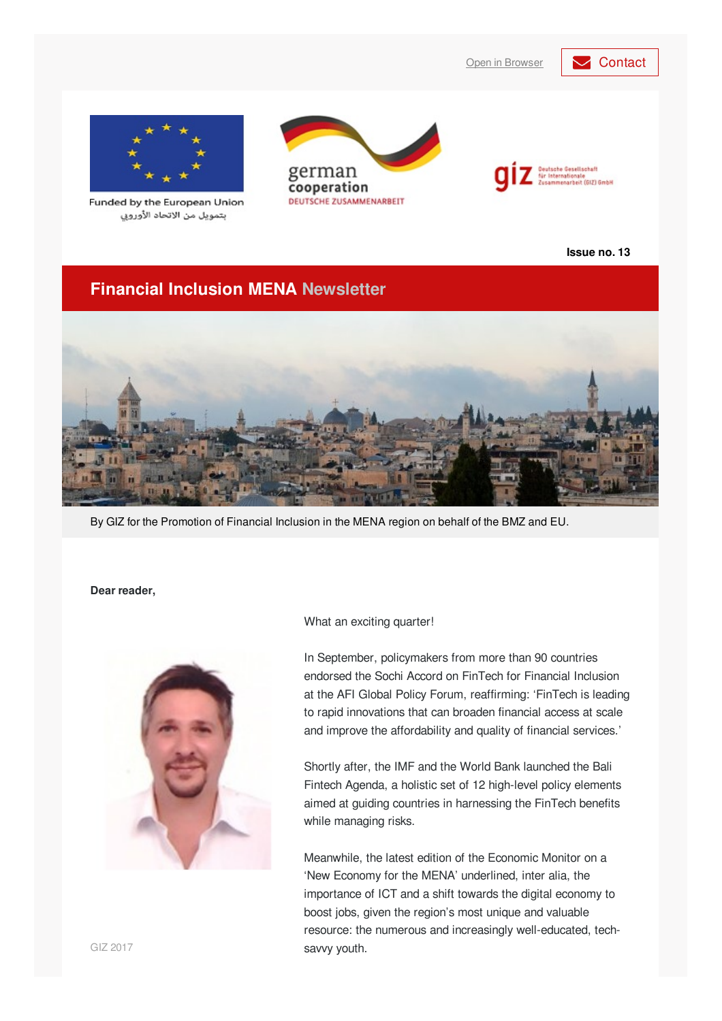



Funded by the European Union بتمويل من الاتحاد الأوروبي





**Issue no. 13**

### **Financial Inclusion MENA Newsletter**



By GIZ for the Promotion of Financial Inclusion in the MENA region on behalf of the BMZ and EU.

#### **Dear reader,**



What an exciting quarter!

In September, policymakers from more than 90 countries endorsed the Sochi Accord on FinTech for Financial Inclusion at the AFI Global Policy Forum, reaffirming: 'FinTech is leading to rapid innovations that can broaden financial access at scale and improve the affordability and quality of financial services.'

Shortly after, the IMF and the World Bank launched the Bali Fintech Agenda, a holistic set of 12 high-level policy elements aimed at guiding countries in harnessing the FinTech benefits while managing risks.

Meanwhile, the latest edition of the Economic Monitor on a 'New Economy for the MENA' underlined, inter alia, the importance of ICT and a shift towards the digital economy to boost jobs, given the region's most unique and valuable resource: the numerous and increasingly well-educated, techsavvy youth.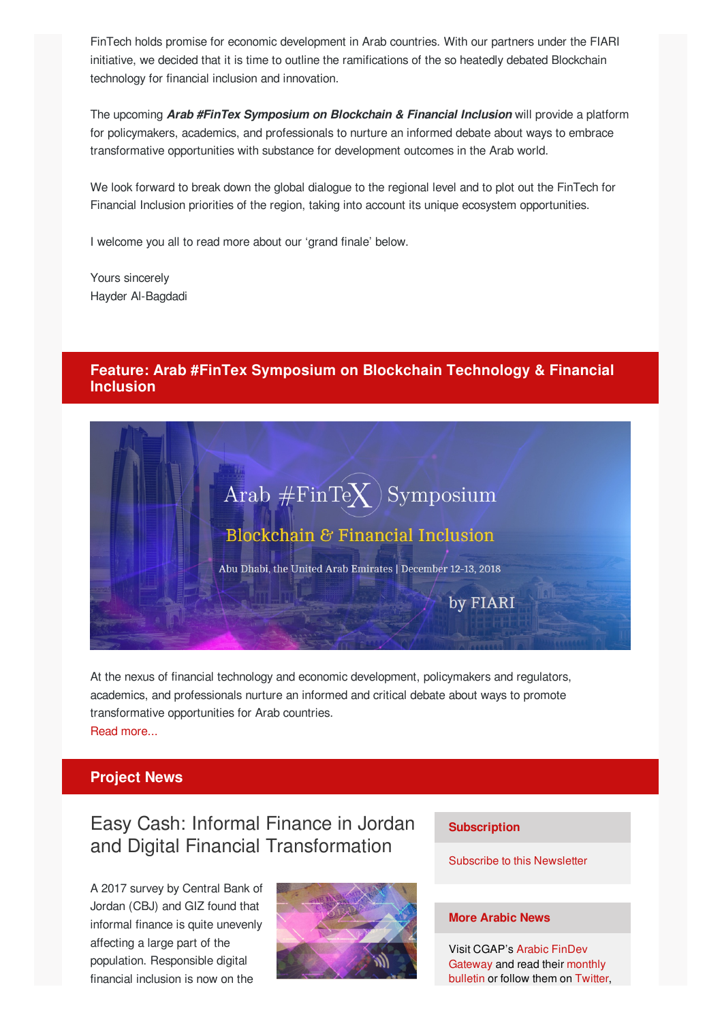FinTech holds promise for economic development in Arab countries. With our partners under the FIARI initiative, we decided that it is time to outline the ramifications of the so heatedly debated Blockchain technology for financial inclusion and innovation.

The upcoming *Arab #FinTex Symposium on Blockchain & Financial Inclusion* will provide a platform for policymakers, academics, and professionals to nurture an informed debate about ways to embrace transformative opportunities with substance for development outcomes in the Arab world.

We look forward to break down the global dialogue to the regional level and to plot out the FinTech for Financial Inclusion priorities of the region, taking into account its unique ecosystem opportunities.

I welcome you all to read more about our 'grand finale' below.

Yours sincerely Hayder Al-Bagdadi

### **Feature: Arab #FinTex Symposium on Blockchain Technology & Financial Inclusion**



At the nexus of financial technology and economic development, policymakers and regulators, academics, and professionals nurture an informed and critical debate about ways to promote transformative opportunities for Arab countries. Read [more...](http://www.fiari.org/arabfintex/)

### **Project News**

## Easy Cash: Informal Finance in Jordan and Digital Financial Transformation

A 2017 survey by Central Bank of Jordan (CBJ) and GIZ found that informal finance is quite unevenly affecting a large part of the population. Responsible digital financial inclusion is now on the



#### **Subscription**

Subscribe to this [Newsletter](mailto:financialinclusion-mena@giz.de?cc=alaa.alhyari@giz.de&subject=Newsletter subscription&body=Dear GIZ team, I would like to subscribe to your newsletter.)

#### **More Arabic News**

Visit [CGAP's](http://findevgateway.org/ar) Arabic FinDev [Gateway](http://www.findevgateway.org/ar/bulletin) and read their monthly bulletin or follow them on [Twitter](http://twitter.com/ArabicFinDev),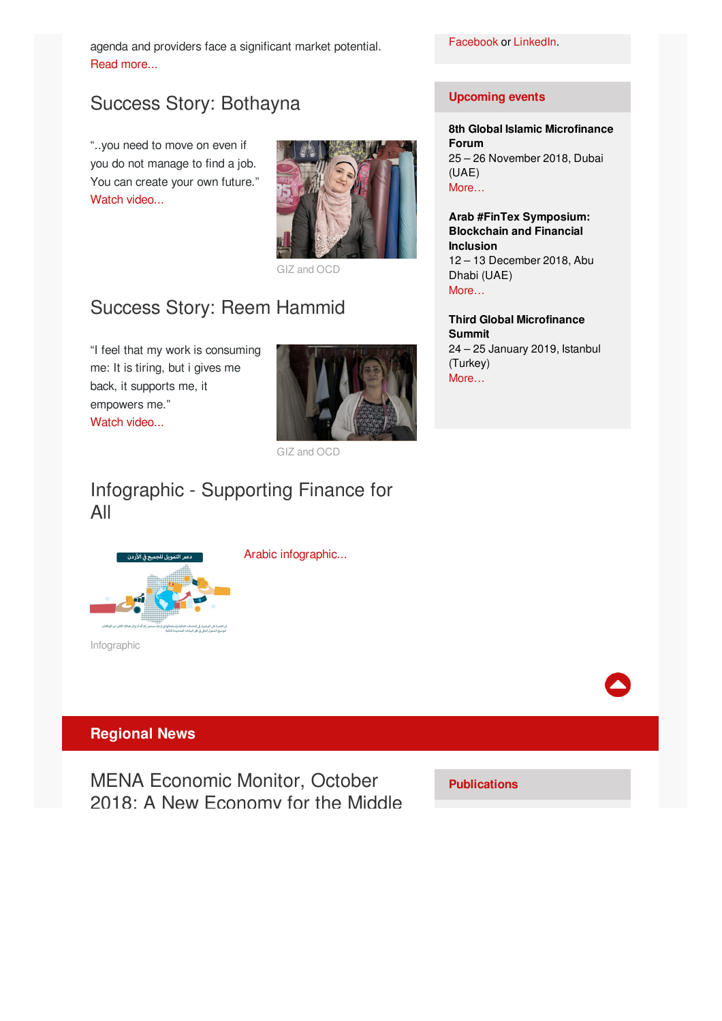agenda and providers face a significant market potential. Read [more...](http://microfinance-mena.org/news/easy-cash-informal-finance-jordan-digital-financial-transformation/)

# Success Story: Bothayna

"..you need to move on even if you do not manage to find a job. You can create your own future." Watch [video...](http://www.youtube.com/watch?v=qWqmnqilOtQ)



GIZ and OCD

# Success Story: Reem Hammid

"I feel that my work is consuming me: It is tiring, but i gives me back, it supports me, it empowers me." Watch [video...](https://www.youtube.com/watch?v=xdfyW-Tq7jo)



GIZ and OCD

Arabic [infographic...](http://microfinance-mena.org/news/supporting-finance-arabic-infographic/)

## Infographic - Supporting Finance for All



Infographic

### **Regional News**

MENA Economic Monitor, October 2018: A New Economy for the Middle

**Publications**

### **Upcoming events**

**8th Global Islamic Microfinance Forum** 25 – 26 November 2018, Dubai (UAE) [More…](http://www.alhudacibe.com/gimf2018/)

**Arab #FinTex Symposium: Blockchain and Financial Inclusion** 12 – 13 December 2018, Abu Dhabi (UAE) [More…](http://www.fiari.org/arabfintex/)

**Third Global Microfinance Summit** 24 – 25 January 2019, Istanbul (Turkey) [More…](https://euro-events.co/3rd-global-microfinance-summit/)

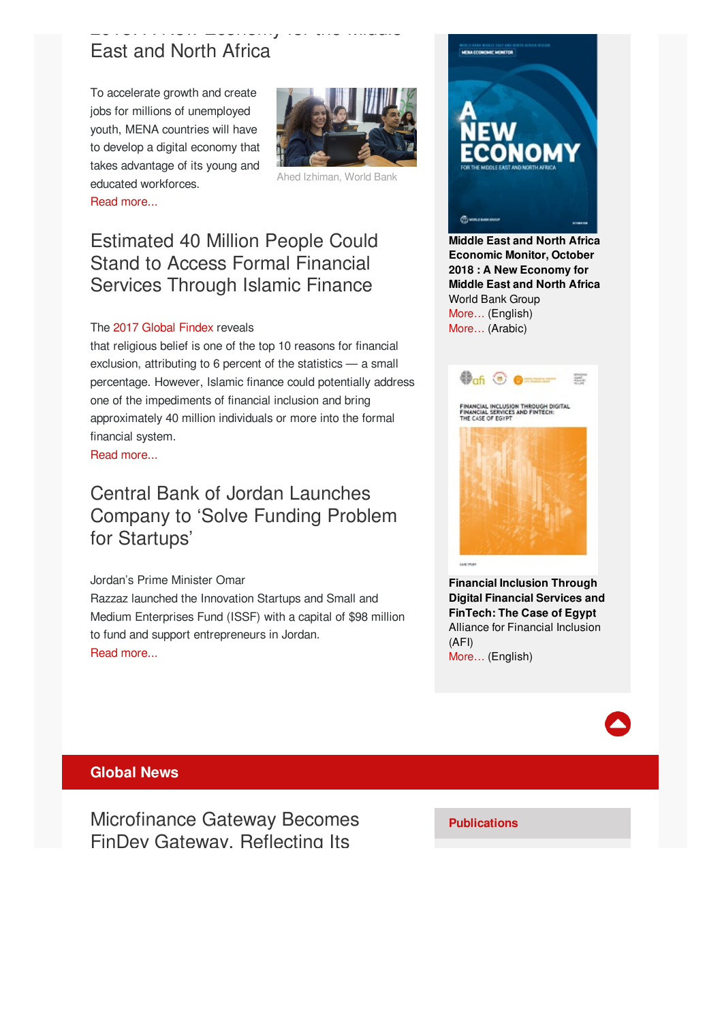### \_\_.\_....... \_\_\_\_...<sub>./</sub> .\_. ... ....... East and North Africa

To accelerate growth and create jobs for millions of unemployed youth, MENA countries will have to develop a digital economy that takes advantage of its young and educated workforces. Read [more...](http://www.worldbank.org/en/region/mena/publication/mena-economic-monitor-october-2018-a-new-economy-for-mena)



Ahed Izhiman, World Bank

### Estimated 40 Million People Could Stand to Access Formal Financial Services Through Islamic Finance

#### The 2017 [Global](https://globalfindex.worldbank.org/) Findex reveals

that religious belief is one of the top 10 reasons for financial exclusion, attributing to 6 percent of the statistics — a small percentage. However, Islamic finance could potentially address one of the impediments of financial inclusion and bring approximately 40 million individuals or more into the formal financial system.

Read [more...](https://www.afi-global.org/blog/2018/09/estimated-40-million-people-could-stand-access-formal-financial-services-through)

## Central Bank of Jordan Launches Company to 'Solve Funding Problem for Startups'

#### Jordan's Prime Minister Omar

Razzaz launched the Innovation Startups and Small and Medium Enterprises Fund (ISSF) with a capital of \$98 million to fund and support entrepreneurs in Jordan. Read [more...](http://jordantimes.com/news/local/cbj-launches-company-?solve-funding-problem-startups?)



**Middle East and North Africa Economic Monitor, October 2018 : A New Economy for Middle East and North Africa** World Bank Group [More…](https://openknowledge.worldbank.org/bitstream/handle/10986/30436/9781464813672.pdf?sequence=11&isAllowed=y) (English) [More…](https://openknowledge.worldbank.org/bitstream/handle/10986/30436/211367AR.pdf?sequence=12&isAllowed=y) (Arabic)



**Financial Inclusion Through Digital Financial Services and FinTech: The Case of Egypt** Alliance for Financial Inclusion (AFI) [More…](https://www.afi-global.org/sites/default/files/publications/2018-08/AFI_Egypt_Report_AW_digital.pdf) (English)



#### **Global News**

Microfinance Gateway Becomes FinDev Gateway, Reflecting Its

**Publications**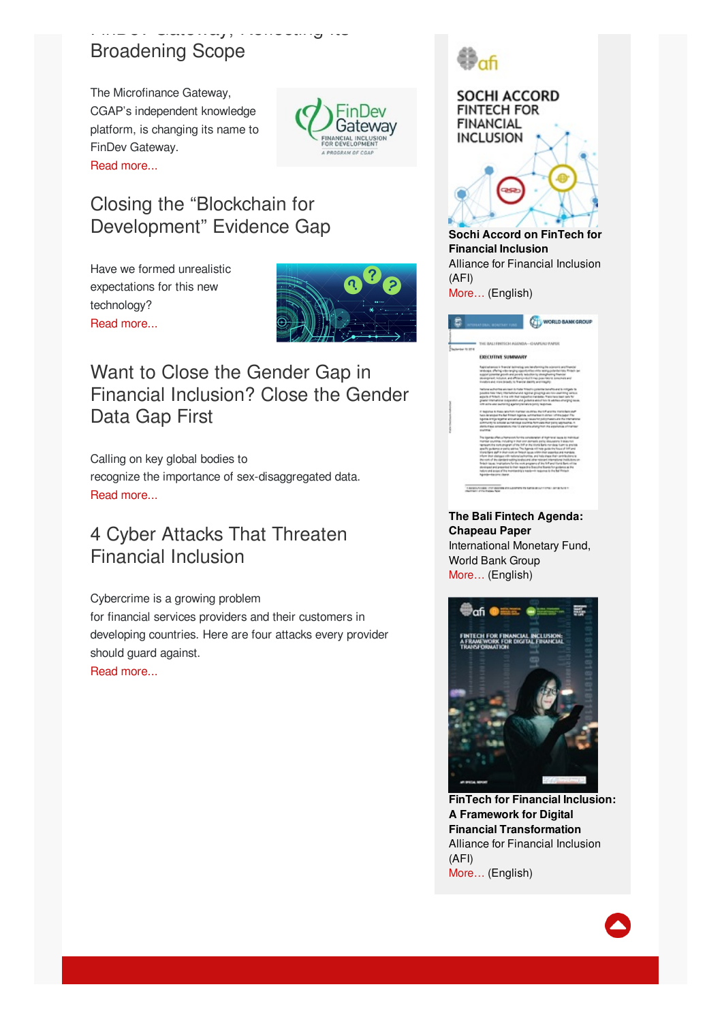### FinDev Gateway, Reflecting Its Broadening Scope

The Microfinance Gateway, CGAP's independent knowledge platform, is changing its name to FinDev Gateway. Read [more...](http://www.findevgateway.org/announcement/microfinance-gateway-becomes-findev-gateway-reflecting-its-broadening-scope)



## Closing the "Blockchain for Development" Evidence Gap

Have we formed unrealistic expectations for this new technology? Read [more...](http://findevgateway.org/blog/2018/oct/closing-?blockchain-development?-evidence-gap?utm_source=ENGLISH+-+Oct_11_2018&utm_campaign=English+August+23+Gateway+Exchange&utm_medium=email)



Want to Close the Gender Gap in Financial Inclusion? Close the Gender Data Gap First

Calling on key global bodies to recognize the importance of sex-disaggregated data. Read [more...](http://www.findevgateway.org/blog/2018/sep/want-close-gender-gap-financial-inclusion-close-gender-data-gap-first)

## 4 Cyber Attacks That Threaten Financial Inclusion

Cybercrime is a growing problem for financial services providers and their customers in developing countries. Here are four attacks every provider should guard against. Read [more...](http://www.cgap.org/blog/4-cyber-attacks-threaten-financial-inclusion)





**Financial Inclusion** Alliance for Financial Inclusion (AFI)

[More…](https://www.afi-global.org/sites/default/files/publications/2018-09/Sochi_FS18_AW_digital.pdf) (English)

| <b>Gentler III 5714</b> | <b>BALLEBETICM AGENTA-CHAPLAU PAPER</b>                                                                                                                                                                                                                                                                                                                                                                                                                                                                                                                                                                                                                                                                                                                                                                                                                                                                                                 |
|-------------------------|-----------------------------------------------------------------------------------------------------------------------------------------------------------------------------------------------------------------------------------------------------------------------------------------------------------------------------------------------------------------------------------------------------------------------------------------------------------------------------------------------------------------------------------------------------------------------------------------------------------------------------------------------------------------------------------------------------------------------------------------------------------------------------------------------------------------------------------------------------------------------------------------------------------------------------------------|
|                         | <b>EXECUTIVE SUMMARY</b>                                                                                                                                                                                                                                                                                                                                                                                                                                                                                                                                                                                                                                                                                                                                                                                                                                                                                                                |
|                         | Reputations in financial business providential the adaptation and financial<br>Website all who want a sportable and a warranteed to this is<br>accord powerful provide and powerful technician in viewed with a franche<br>designed, bound, and efficiency-duties (see positions) procedure and<br>invalues and more broads, to financial abouts and respect-                                                                                                                                                                                                                                                                                                                                                                                                                                                                                                                                                                           |
|                         | factories authorities anymed duringle firmatic consolide banafilis and in collision its<br>position has how international and support directing an international service.<br>sparts of follows in the USS that respective transitions from their basis for fur.<br>presentation superint and provide the financial energy series.<br>and with old sections) contentmental paint teachers.                                                                                                                                                                                                                                                                                                                                                                                                                                                                                                                                               |
|                         | The country at the automatic contact country to the contact of a substitution of<br>New American the Ball Finland Agenda, with the training of the paper Pro-<br>Aguna artist team el en an ensurier suavint priori assistant de Partishmena<br>primariting private automated particle formats that pains approaches in<br>derivings proportion me G person plansma na position a chramar<br><b>STATISTIC</b>                                                                                                                                                                                                                                                                                                                                                                                                                                                                                                                           |
|                         | The Egenda offers a framework furnite consideration of High-texal bases to instrukted<br>manker pountries, moluting in that one stamps to policy documents in bost-rest<br>recreated the nuclear control of the Pat Victor Rang non-dept furniture and the<br>graphs pulsives or participating. The Agenda millinear pulsivity financy of the unit<br>tions lians and in their cost on finisch races relativities assortios and mandels.<br>informs that climinate with national aptications, and halp cinese that contributions to<br>the work of the standard exhibit to absorbe and advanced international institutions on<br>finish tape, implation for the root progress of the loft profits to be to of the<br>standaged and presented to their respective Executive Economics government that<br>halung and across of the monitorology nearborsh response to the Bal Fintach<br><b><i><u>Equitable - American change</u></i></b> |

**The Bali Fintech Agenda: Chapeau Paper** International Monetary Fund, World Bank Group [More…](http://documents.worldbank.org/curated/en/390701539097118625/pdf/130563-BR-PUBLIC-on-10-11-18-2-30-AM-BFA-2018-Sep-Bali-Fintech-Agenda-Board-Paper.pdf) (English)



**FinTech for Financial Inclusion: A Framework for Digital Financial Transformation** Alliance for Financial Inclusion (AFI) [More…](https://www.afi-global.org/sites/default/files/publications/2018-09/AFI_FinTech_Special Report_AW_digital.pdf) (English)